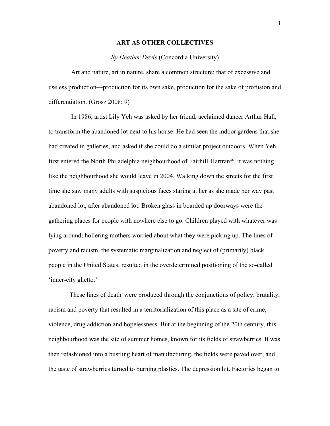### **ART AS OTHER COLLECTIVES**

### *By Heather Davis* (Concordia University)

 Art and nature, art in nature, share a common structure: that of excessive and useless production—production for its own sake, production for the sake of profusion and differentiation. (Grosz 2008: 9)

 In 1986, artist Lily Yeh was asked by her friend, acclaimed dancer Arthur Hall, to transform the abandoned lot next to his house. He had seen the indoor gardens that she had created in galleries, and asked if she could do a similar project outdoors. When Yeh first entered the North Philadelphia neighbourhood of Fairhill-Hartranft, it was nothing like the neighbourhood she would leave in 2004. Walking down the streets for the first time she saw many adults with suspicious faces staring at her as she made her way past abandoned lot, after abandoned lot. Broken glass in boarded up doorways were the gathering places for people with nowhere else to go. Children played with whatever was lying around; hollering mothers worried about what they were picking up. The lines of poverty and racism, the systematic marginalization and neglect of (primarily) black people in the United States, resulted in the overdetermined positioning of the so-called 'inner-city ghetto.'

These lines of death<sup>i</sup> were produced through the conjunctions of policy, brutality, racism and poverty that resulted in a territorialization of this place as a site of crime, violence, drug addiction and hopelessness. But at the beginning of the 20th century, this neighbourhood was the site of summer homes, known for its fields of strawberries. It was then refashioned into a bustling heart of manufacturing, the fields were paved over, and the taste of strawberries turned to burning plastics. The depression hit. Factories began to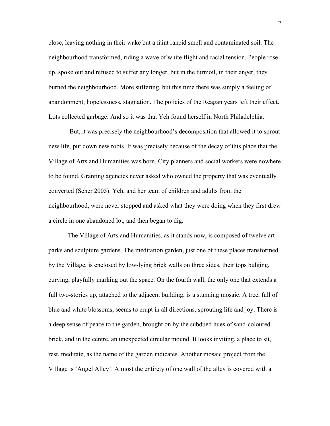close, leaving nothing in their wake but a faint rancid smell and contaminated soil. The neighbourhood transformed, riding a wave of white flight and racial tension. People rose up, spoke out and refused to suffer any longer, but in the turmoil, in their anger, they burned the neighbourhood. More suffering, but this time there was simply a feeling of abandonment, hopelessness, stagnation. The policies of the Reagan years left their effect. Lots collected garbage. And so it was that Yeh found herself in North Philadelphia.

But, it was precisely the neighbourhood's decomposition that allowed it to sprout new life, put down new roots. It was precisely because of the decay of this place that the Village of Arts and Humanities was born. City planners and social workers were nowhere to be found. Granting agencies never asked who owned the property that was eventually converted (Scher 2005). Yeh, and her team of children and adults from the neighbourhood, were never stopped and asked what they were doing when they first drew a circle in one abandoned lot, and then began to dig.

The Village of Arts and Humanities, as it stands now, is composed of twelve art parks and sculpture gardens. The meditation garden, just one of these places transformed by the Village, is enclosed by low-lying brick walls on three sides, their tops bulging, curving, playfully marking out the space. On the fourth wall, the only one that extends a full two-stories up, attached to the adjacent building, is a stunning mosaic. A tree, full of blue and white blossoms, seems to erupt in all directions, sprouting life and joy. There is a deep sense of peace to the garden, brought on by the subdued hues of sand-coloured brick, and in the centre, an unexpected circular mound. It looks inviting, a place to sit, rest, meditate, as the name of the garden indicates. Another mosaic project from the Village is 'Angel Alley'. Almost the entirety of one wall of the alley is covered with a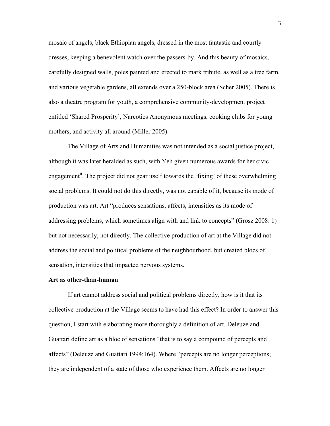mosaic of angels, black Ethiopian angels, dressed in the most fantastic and courtly dresses, keeping a benevolent watch over the passers-by. And this beauty of mosaics, carefully designed walls, poles painted and erected to mark tribute, as well as a tree farm, and various vegetable gardens, all extends over a 250-block area (Scher 2005). There is also a theatre program for youth, a comprehensive community-development project entitled 'Shared Prosperity', Narcotics Anonymous meetings, cooking clubs for young mothers, and activity all around (Miller 2005).

The Village of Arts and Humanities was not intended as a social justice project, although it was later heralded as such, with Yeh given numerous awards for her civic engagement<sup>ii</sup>. The project did not gear itself towards the 'fixing' of these overwhelming social problems. It could not do this directly, was not capable of it, because its mode of production was art. Art "produces sensations, affects, intensities as its mode of addressing problems, which sometimes align with and link to concepts" (Grosz 2008: 1) but not necessarily, not directly. The collective production of art at the Village did not address the social and political problems of the neighbourhood, but created blocs of sensation, intensities that impacted nervous systems.

### **Art as other-than-human**

If art cannot address social and political problems directly, how is it that its collective production at the Village seems to have had this effect? In order to answer this question, I start with elaborating more thoroughly a definition of art. Deleuze and Guattari define art as a bloc of sensations "that is to say a compound of percepts and affects" (Deleuze and Guattari 1994:164). Where "percepts are no longer perceptions; they are independent of a state of those who experience them. Affects are no longer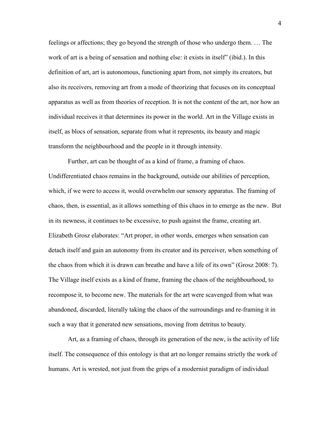feelings or affections; they go beyond the strength of those who undergo them. … The work of art is a being of sensation and nothing else: it exists in itself" (ibid.). In this definition of art, art is autonomous, functioning apart from, not simply its creators, but also its receivers, removing art from a mode of theorizing that focuses on its conceptual apparatus as well as from theories of reception. It is not the content of the art, nor how an individual receives it that determines its power in the world. Art in the Village exists in itself, as blocs of sensation, separate from what it represents, its beauty and magic transform the neighbourhood and the people in it through intensity.

Further, art can be thought of as a kind of frame, a framing of chaos. Undifferentiated chaos remains in the background, outside our abilities of perception, which, if we were to access it, would overwhelm our sensory apparatus. The framing of chaos, then, is essential, as it allows something of this chaos in to emerge as the new. But in its newness, it continues to be excessive, to push against the frame, creating art. Elizabeth Grosz elaborates: "Art proper, in other words, emerges when sensation can detach itself and gain an autonomy from its creator and its perceiver, when something of the chaos from which it is drawn can breathe and have a life of its own" (Grosz 2008: 7). The Village itself exists as a kind of frame, framing the chaos of the neighbourhood, to recompose it, to become new. The materials for the art were scavenged from what was abandoned, discarded, literally taking the chaos of the surroundings and re-framing it in such a way that it generated new sensations, moving from detritus to beauty.

Art, as a framing of chaos, through its generation of the new, is the activity of life itself. The consequence of this ontology is that art no longer remains strictly the work of humans. Art is wrested, not just from the grips of a modernist paradigm of individual

4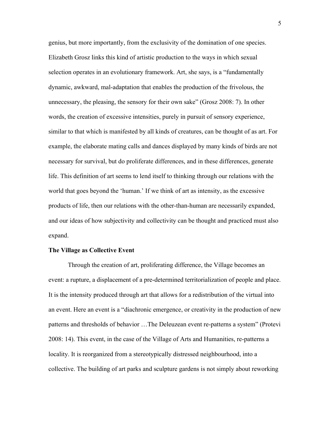genius, but more importantly, from the exclusivity of the domination of one species. Elizabeth Grosz links this kind of artistic production to the ways in which sexual selection operates in an evolutionary framework. Art, she says, is a "fundamentally dynamic, awkward, mal-adaptation that enables the production of the frivolous, the unnecessary, the pleasing, the sensory for their own sake" (Grosz 2008: 7). In other words, the creation of excessive intensities, purely in pursuit of sensory experience, similar to that which is manifested by all kinds of creatures, can be thought of as art. For example, the elaborate mating calls and dances displayed by many kinds of birds are not necessary for survival, but do proliferate differences, and in these differences, generate life. This definition of art seems to lend itself to thinking through our relations with the world that goes beyond the 'human.' If we think of art as intensity, as the excessive products of life, then our relations with the other-than-human are necessarily expanded, and our ideas of how subjectivity and collectivity can be thought and practiced must also expand.

## **The Village as Collective Event**

Through the creation of art, proliferating difference, the Village becomes an event: a rupture, a displacement of a pre-determined territorialization of people and place. It is the intensity produced through art that allows for a redistribution of the virtual into an event. Here an event is a "diachronic emergence, or creativity in the production of new patterns and thresholds of behavior …The Deleuzean event re-patterns a system" (Protevi 2008: 14). This event, in the case of the Village of Arts and Humanities, re-patterns a locality. It is reorganized from a stereotypically distressed neighbourhood, into a collective. The building of art parks and sculpture gardens is not simply about reworking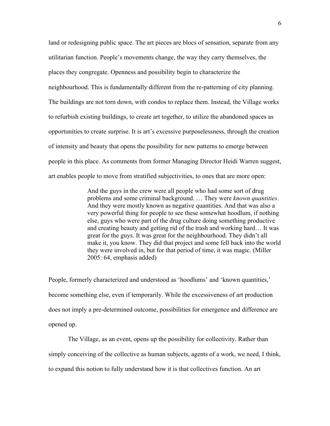land or redesigning public space. The art pieces are blocs of sensation, separate from any utilitarian function. People's movements change, the way they carry themselves, the places they congregate. Openness and possibility begin to characterize the neighbourhood. This is fundamentally different from the re-patterning of city planning. The buildings are not torn down, with condos to replace them. Instead, the Village works to refurbish existing buildings, to create art together, to utilize the abandoned spaces as opportunities to create surprise. It is art's excessive purposelessness, through the creation of intensity and beauty that opens the possibility for new patterns to emerge between people in this place. As comments from former Managing Director Heidi Warren suggest, art enables people to move from stratified subjectivities, to ones that are more open:

> And the guys in the crew were all people who had some sort of drug problems and some criminal background. … They were *known quantities*. And they were mostly known as negative quantities. And that was also a very powerful thing for people to see these somewhat hoodlum, if nothing else, guys who were part of the drug culture doing something productive and creating beauty and getting rid of the trash and working hard… It was great for the guys. It was great for the neighbourhood. They didn't all make it, you know. They did that project and some fell back into the world they were involved in, but for that period of time, it was magic. (Miller 2005: 64, emphasis added)

People, formerly characterized and understood as 'hoodlums' and 'known quantities,' become something else, even if temporarily. While the excessiveness of art production does not imply a pre-determined outcome, possibilities for emergence and difference are opened up.

The Village, as an event, opens up the possibility for collectivity. Rather than simply conceiving of the collective as human subjects, agents of a work, we need, I think, to expand this notion to fully understand how it is that collectives function. An art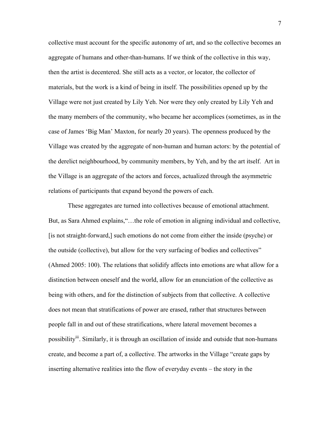collective must account for the specific autonomy of art, and so the collective becomes an aggregate of humans and other-than-humans. If we think of the collective in this way, then the artist is decentered. She still acts as a vector, or locator, the collector of materials, but the work is a kind of being in itself. The possibilities opened up by the Village were not just created by Lily Yeh. Nor were they only created by Lily Yeh and the many members of the community, who became her accomplices (sometimes, as in the case of James 'Big Man' Maxton, for nearly 20 years). The openness produced by the Village was created by the aggregate of non-human and human actors: by the potential of the derelict neighbourhood, by community members, by Yeh, and by the art itself. Art in the Village is an aggregate of the actors and forces, actualized through the asymmetric relations of participants that expand beyond the powers of each.

These aggregates are turned into collectives because of emotional attachment. But, as Sara Ahmed explains,"…the role of emotion in aligning individual and collective, [is not straight-forward,] such emotions do not come from either the inside (psyche) or the outside (collective), but allow for the very surfacing of bodies and collectives" (Ahmed 2005: 100). The relations that solidify affects into emotions are what allow for a distinction between oneself and the world, allow for an enunciation of the collective as being with others, and for the distinction of subjects from that collective. A collective does not mean that stratifications of power are erased, rather that structures between people fall in and out of these stratifications, where lateral movement becomes a possibility<sup>iii</sup>. Similarly, it is through an oscillation of inside and outside that non-humans create, and become a part of, a collective. The artworks in the Village "create gaps by inserting alternative realities into the flow of everyday events – the story in the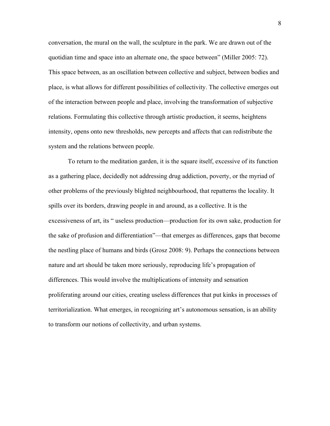conversation, the mural on the wall, the sculpture in the park. We are drawn out of the quotidian time and space into an alternate one, the space between" (Miller 2005: 72). This space between, as an oscillation between collective and subject, between bodies and place, is what allows for different possibilities of collectivity. The collective emerges out of the interaction between people and place, involving the transformation of subjective relations. Formulating this collective through artistic production, it seems, heightens intensity, opens onto new thresholds, new percepts and affects that can redistribute the system and the relations between people.

To return to the meditation garden, it is the square itself, excessive of its function as a gathering place, decidedly not addressing drug addiction, poverty, or the myriad of other problems of the previously blighted neighbourhood, that repatterns the locality. It spills over its borders, drawing people in and around, as a collective. It is the excessiveness of art, its " useless production—production for its own sake, production for the sake of profusion and differentiation"—that emerges as differences, gaps that become the nestling place of humans and birds (Grosz 2008: 9). Perhaps the connections between nature and art should be taken more seriously, reproducing life's propagation of differences. This would involve the multiplications of intensity and sensation proliferating around our cities, creating useless differences that put kinks in processes of territorialization. What emerges, in recognizing art's autonomous sensation, is an ability to transform our notions of collectivity, and urban systems.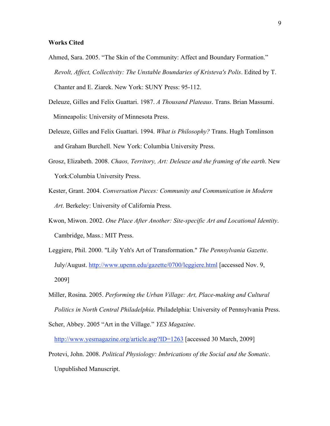# **Works Cited**

- Ahmed, Sara. 2005. "The Skin of the Community: Affect and Boundary Formation." *Revolt, Affect, Collectivity: The Unstable Boundaries of Kristeva's Polis*. Edited by T. Chanter and E. Ziarek. New York: SUNY Press: 95-112.
- Deleuze, Gilles and Felix Guattari. 1987. *A Thousand Plateaus*. Trans. Brian Massumi. Minneapolis: University of Minnesota Press.
- Deleuze, Gilles and Felix Guattari. 1994. *What is Philosophy?* Trans. Hugh Tomlinson and Graham Burchell. New York: Columbia University Press.
- Grosz, Elizabeth. 2008. *Chaos, Territory, Art: Deleuze and the framing of the earth*. New York:Columbia University Press.
- Kester, Grant. 2004. *Conversation Pieces: Community and Communication in Modern Art*. Berkeley: University of California Press.
- Kwon, Miwon. 2002. *One Place After Another: Site-specific Art and Locational Identity*. Cambridge, Mass.: MIT Press.
- Leggiere, Phil. 2000. "Lily Yeh's Art of Transformation." *The Pennsylvania Gazette*. July/August. http://www.upenn.edu/gazette/0700/leggiere.html [accessed Nov. 9, 2009]
- Miller, Rosina. 2005. *Performing the Urban Village: Art, Place-making and Cultural Politics in North Central Philadelphia*. Philadelphia: University of Pennsylvania Press. Scher, Abbey. 2005 "Art in the Village." *YES Magazine*.

http://www.yesmagazine.org/article.asp?ID=1263 [accessed 30 March, 2009]

Protevi, John. 2008. *Political Physiology: Imbrications of the Social and the Somatic*. Unpublished Manuscript.